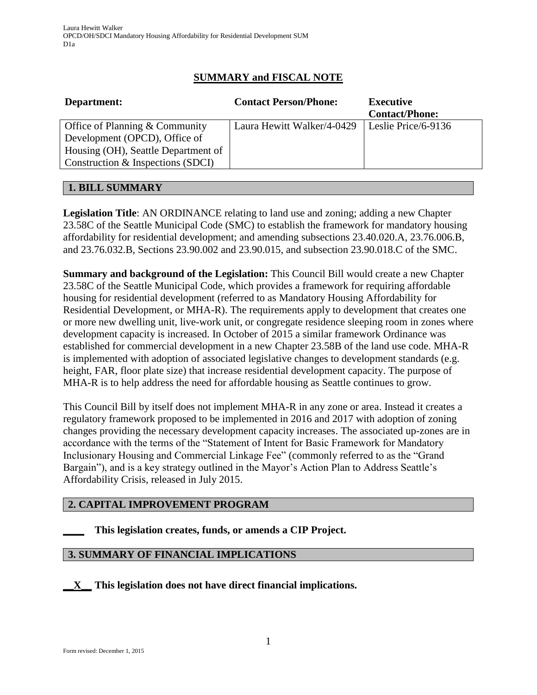# **SUMMARY and FISCAL NOTE**

| Department:                         | <b>Contact Person/Phone:</b> | <b>Executive</b>      |
|-------------------------------------|------------------------------|-----------------------|
|                                     |                              | <b>Contact/Phone:</b> |
| Office of Planning $&$ Community    | Laura Hewitt Walker/4-0429   | Leslie Price/6-9136   |
| Development (OPCD), Office of       |                              |                       |
| Housing (OH), Seattle Department of |                              |                       |
| Construction & Inspections (SDCI)   |                              |                       |
|                                     |                              |                       |

## **1. BILL SUMMARY**

**Legislation Title**: AN ORDINANCE relating to land use and zoning; adding a new Chapter 23.58C of the Seattle Municipal Code (SMC) to establish the framework for mandatory housing affordability for residential development; and amending subsections 23.40.020.A, 23.76.006.B, and 23.76.032.B, Sections 23.90.002 and 23.90.015, and subsection 23.90.018.C of the SMC.

**Summary and background of the Legislation:** This Council Bill would create a new Chapter 23.58C of the Seattle Municipal Code, which provides a framework for requiring affordable housing for residential development (referred to as Mandatory Housing Affordability for Residential Development, or MHA-R). The requirements apply to development that creates one or more new dwelling unit, live-work unit, or congregate residence sleeping room in zones where development capacity is increased. In October of 2015 a similar framework Ordinance was established for commercial development in a new Chapter 23.58B of the land use code. MHA-R is implemented with adoption of associated legislative changes to development standards (e.g. height, FAR, floor plate size) that increase residential development capacity. The purpose of MHA-R is to help address the need for affordable housing as Seattle continues to grow.

This Council Bill by itself does not implement MHA-R in any zone or area. Instead it creates a regulatory framework proposed to be implemented in 2016 and 2017 with adoption of zoning changes providing the necessary development capacity increases. The associated up-zones are in accordance with the terms of the "Statement of Intent for Basic Framework for Mandatory Inclusionary Housing and Commercial Linkage Fee" (commonly referred to as the "Grand Bargain"), and is a key strategy outlined in the Mayor's Action Plan to Address Seattle's Affordability Crisis, released in July 2015.

# **2. CAPITAL IMPROVEMENT PROGRAM**

## **\_\_\_\_ This legislation creates, funds, or amends a CIP Project.**

## **3. SUMMARY OF FINANCIAL IMPLICATIONS**

**\_\_X\_\_ This legislation does not have direct financial implications.**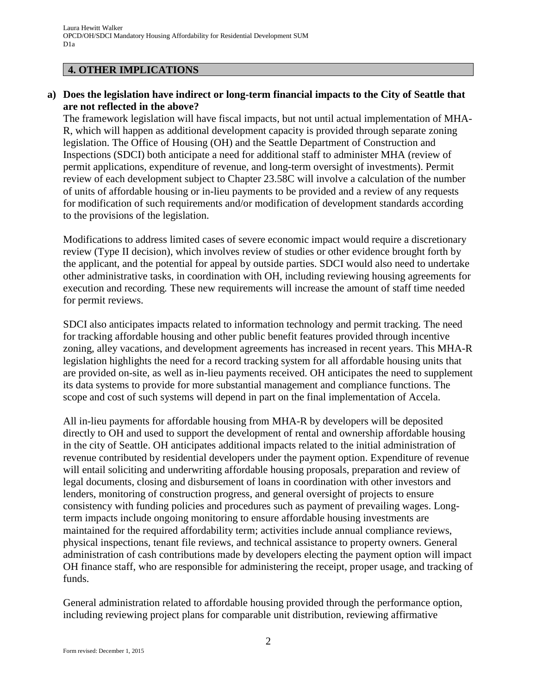#### **4. OTHER IMPLICATIONS**

#### **a) Does the legislation have indirect or long-term financial impacts to the City of Seattle that are not reflected in the above?**

The framework legislation will have fiscal impacts, but not until actual implementation of MHA-R, which will happen as additional development capacity is provided through separate zoning legislation. The Office of Housing (OH) and the Seattle Department of Construction and Inspections (SDCI) both anticipate a need for additional staff to administer MHA (review of permit applications, expenditure of revenue, and long-term oversight of investments). Permit review of each development subject to Chapter 23.58C will involve a calculation of the number of units of affordable housing or in-lieu payments to be provided and a review of any requests for modification of such requirements and/or modification of development standards according to the provisions of the legislation.

Modifications to address limited cases of severe economic impact would require a discretionary review (Type II decision), which involves review of studies or other evidence brought forth by the applicant, and the potential for appeal by outside parties. SDCI would also need to undertake other administrative tasks, in coordination with OH, including reviewing housing agreements for execution and recording*.* These new requirements will increase the amount of staff time needed for permit reviews.

SDCI also anticipates impacts related to information technology and permit tracking. The need for tracking affordable housing and other public benefit features provided through incentive zoning, alley vacations, and development agreements has increased in recent years. This MHA-R legislation highlights the need for a record tracking system for all affordable housing units that are provided on-site, as well as in-lieu payments received. OH anticipates the need to supplement its data systems to provide for more substantial management and compliance functions. The scope and cost of such systems will depend in part on the final implementation of Accela.

All in-lieu payments for affordable housing from MHA-R by developers will be deposited directly to OH and used to support the development of rental and ownership affordable housing in the city of Seattle. OH anticipates additional impacts related to the initial administration of revenue contributed by residential developers under the payment option. Expenditure of revenue will entail soliciting and underwriting affordable housing proposals, preparation and review of legal documents, closing and disbursement of loans in coordination with other investors and lenders, monitoring of construction progress, and general oversight of projects to ensure consistency with funding policies and procedures such as payment of prevailing wages. Longterm impacts include ongoing monitoring to ensure affordable housing investments are maintained for the required affordability term; activities include annual compliance reviews, physical inspections, tenant file reviews, and technical assistance to property owners. General administration of cash contributions made by developers electing the payment option will impact OH finance staff, who are responsible for administering the receipt, proper usage, and tracking of funds.

General administration related to affordable housing provided through the performance option, including reviewing project plans for comparable unit distribution, reviewing affirmative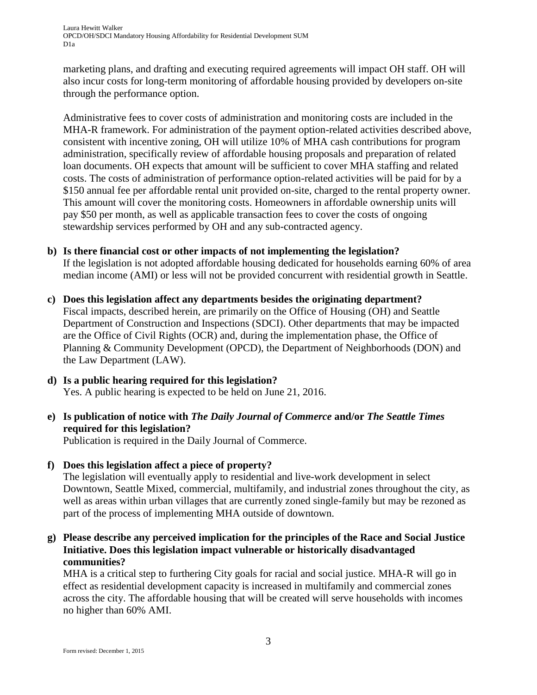Laura Hewitt Walker OPCD/OH/SDCI Mandatory Housing Affordability for Residential Development SUM D1a

marketing plans, and drafting and executing required agreements will impact OH staff. OH will also incur costs for long-term monitoring of affordable housing provided by developers on-site through the performance option.

Administrative fees to cover costs of administration and monitoring costs are included in the MHA-R framework. For administration of the payment option-related activities described above, consistent with incentive zoning, OH will utilize 10% of MHA cash contributions for program administration, specifically review of affordable housing proposals and preparation of related loan documents. OH expects that amount will be sufficient to cover MHA staffing and related costs. The costs of administration of performance option-related activities will be paid for by a \$150 annual fee per affordable rental unit provided on-site, charged to the rental property owner. This amount will cover the monitoring costs. Homeowners in affordable ownership units will pay \$50 per month, as well as applicable transaction fees to cover the costs of ongoing stewardship services performed by OH and any sub-contracted agency.

#### **b) Is there financial cost or other impacts of not implementing the legislation?**

If the legislation is not adopted affordable housing dedicated for households earning 60% of area median income (AMI) or less will not be provided concurrent with residential growth in Seattle.

- **c) Does this legislation affect any departments besides the originating department?** Fiscal impacts, described herein, are primarily on the Office of Housing (OH) and Seattle Department of Construction and Inspections (SDCI). Other departments that may be impacted are the Office of Civil Rights (OCR) and, during the implementation phase, the Office of Planning & Community Development (OPCD), the Department of Neighborhoods (DON) and the Law Department (LAW).
- **d) Is a public hearing required for this legislation?** Yes. A public hearing is expected to be held on June 21, 2016.
- **e) Is publication of notice with** *The Daily Journal of Commerce* **and/or** *The Seattle Times* **required for this legislation?**

Publication is required in the Daily Journal of Commerce.

**f) Does this legislation affect a piece of property?**

The legislation will eventually apply to residential and live-work development in select Downtown, Seattle Mixed, commercial, multifamily, and industrial zones throughout the city, as well as areas within urban villages that are currently zoned single-family but may be rezoned as part of the process of implementing MHA outside of downtown.

**g) Please describe any perceived implication for the principles of the Race and Social Justice Initiative. Does this legislation impact vulnerable or historically disadvantaged communities?**

MHA is a critical step to furthering City goals for racial and social justice. MHA-R will go in effect as residential development capacity is increased in multifamily and commercial zones across the city. The affordable housing that will be created will serve households with incomes no higher than 60% AMI.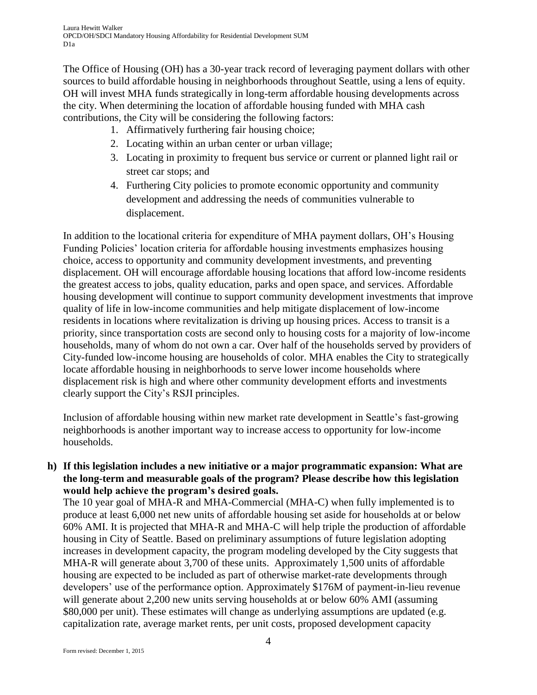The Office of Housing (OH) has a 30-year track record of leveraging payment dollars with other sources to build affordable housing in neighborhoods throughout Seattle, using a lens of equity. OH will invest MHA funds strategically in long-term affordable housing developments across the city. When determining the location of affordable housing funded with MHA cash contributions, the City will be considering the following factors:

- 1. Affirmatively furthering fair housing choice;
- 2. Locating within an urban center or urban village;
- 3. Locating in proximity to frequent bus service or current or planned light rail or street car stops; and
- 4. Furthering City policies to promote economic opportunity and community development and addressing the needs of communities vulnerable to displacement.

In addition to the locational criteria for expenditure of MHA payment dollars, OH's Housing Funding Policies' location criteria for affordable housing investments emphasizes housing choice, access to opportunity and community development investments, and preventing displacement. OH will encourage affordable housing locations that afford low-income residents the greatest access to jobs, quality education, parks and open space, and services. Affordable housing development will continue to support community development investments that improve quality of life in low-income communities and help mitigate displacement of low-income residents in locations where revitalization is driving up housing prices. Access to transit is a priority, since transportation costs are second only to housing costs for a majority of low-income households, many of whom do not own a car. Over half of the households served by providers of City-funded low-income housing are households of color. MHA enables the City to strategically locate affordable housing in neighborhoods to serve lower income households where displacement risk is high and where other community development efforts and investments clearly support the City's RSJI principles.

Inclusion of affordable housing within new market rate development in Seattle's fast-growing neighborhoods is another important way to increase access to opportunity for low-income households.

**h) If this legislation includes a new initiative or a major programmatic expansion: What are the long-term and measurable goals of the program? Please describe how this legislation would help achieve the program's desired goals.**

The 10 year goal of MHA-R and MHA-Commercial (MHA-C) when fully implemented is to produce at least 6,000 net new units of affordable housing set aside for households at or below 60% AMI. It is projected that MHA-R and MHA-C will help triple the production of affordable housing in City of Seattle. Based on preliminary assumptions of future legislation adopting increases in development capacity, the program modeling developed by the City suggests that MHA-R will generate about 3,700 of these units. Approximately 1,500 units of affordable housing are expected to be included as part of otherwise market-rate developments through developers' use of the performance option. Approximately \$176M of payment-in-lieu revenue will generate about 2,200 new units serving households at or below 60% AMI (assuming \$80,000 per unit). These estimates will change as underlying assumptions are updated (e.g. capitalization rate, average market rents, per unit costs, proposed development capacity